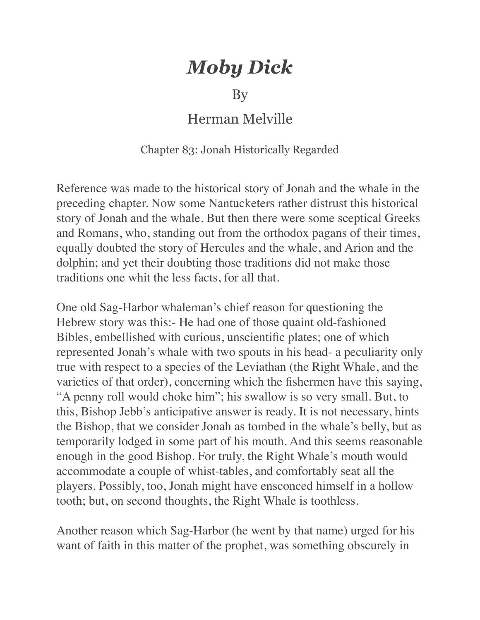## *Moby Dick*

## By

## Herman Melville

## Chapter 83: Jonah Historically Regarded

Reference was made to the historical story of Jonah and the whale in the preceding chapter. Now some Nantucketers rather distrust this historical story of Jonah and the whale. But then there were some sceptical Greeks and Romans, who, standing out from the orthodox pagans of their times, equally doubted the story of Hercules and the whale, and Arion and the dolphin; and yet their doubting those traditions did not make those traditions one whit the less facts, for all that.

One old Sag-Harbor whaleman's chief reason for questioning the Hebrew story was this:- He had one of those quaint old-fashioned Bibles, embellished with curious, unscientific plates; one of which represented Jonah's whale with two spouts in his head- a peculiarity only true with respect to a species of the Leviathan (the Right Whale, and the varieties of that order), concerning which the fishermen have this saying, "A penny roll would choke him"; his swallow is so very small. But, to this, Bishop Jebb's anticipative answer is ready. It is not necessary, hints the Bishop, that we consider Jonah as tombed in the whale's belly, but as temporarily lodged in some part of his mouth. And this seems reasonable enough in the good Bishop. For truly, the Right Whale's mouth would accommodate a couple of whist-tables, and comfortably seat all the players. Possibly, too, Jonah might have ensconced himself in a hollow tooth; but, on second thoughts, the Right Whale is toothless.

Another reason which Sag-Harbor (he went by that name) urged for his want of faith in this matter of the prophet, was something obscurely in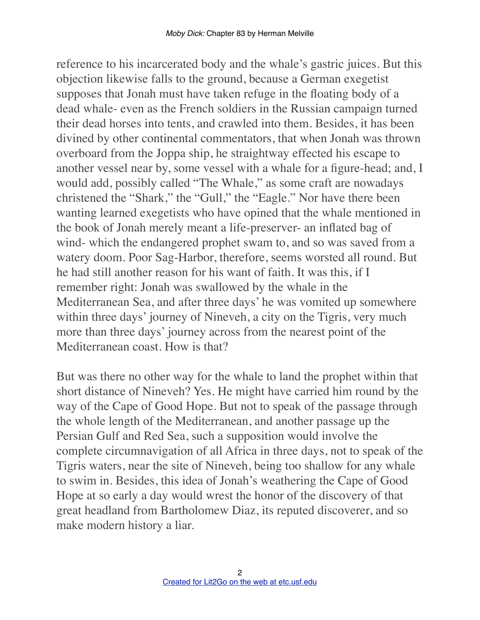reference to his incarcerated body and the whale's gastric juices. But this objection likewise falls to the ground, because a German exegetist supposes that Jonah must have taken refuge in the floating body of a dead whale- even as the French soldiers in the Russian campaign turned their dead horses into tents, and crawled into them. Besides, it has been divined by other continental commentators, that when Jonah was thrown overboard from the Joppa ship, he straightway effected his escape to another vessel near by, some vessel with a whale for a figure-head; and, I would add, possibly called "The Whale," as some craft are nowadays christened the "Shark," the "Gull," the "Eagle." Nor have there been wanting learned exegetists who have opined that the whale mentioned in the book of Jonah merely meant a life-preserver- an inflated bag of wind- which the endangered prophet swam to, and so was saved from a watery doom. Poor Sag-Harbor, therefore, seems worsted all round. But he had still another reason for his want of faith. It was this, if I remember right: Jonah was swallowed by the whale in the Mediterranean Sea, and after three days' he was vomited up somewhere within three days' journey of Nineveh, a city on the Tigris, very much more than three days' journey across from the nearest point of the Mediterranean coast. How is that?

But was there no other way for the whale to land the prophet within that short distance of Nineveh? Yes. He might have carried him round by the way of the Cape of Good Hope. But not to speak of the passage through the whole length of the Mediterranean, and another passage up the Persian Gulf and Red Sea, such a supposition would involve the complete circumnavigation of all Africa in three days, not to speak of the Tigris waters, near the site of Nineveh, being too shallow for any whale to swim in. Besides, this idea of Jonah's weathering the Cape of Good Hope at so early a day would wrest the honor of the discovery of that great headland from Bartholomew Diaz, its reputed discoverer, and so make modern history a liar.